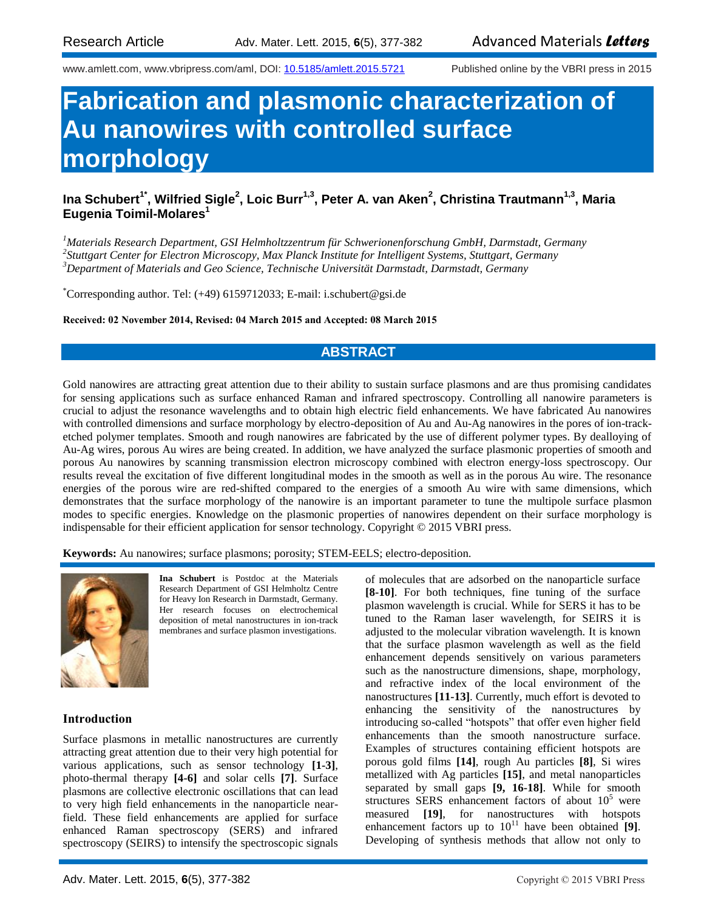www.amlett.com, www.vbripress.com/aml, DOI: [10.5185/amlett.2015.5721](http://dx.doi.org/10.5185/amlett.2015.5721) Published online by the VBRI press in 2015

# **Fabrication and plasmonic characterization of Au nanowires with controlled surface morphology**

# **Ina Schubert1\* , Wilfried Sigle<sup>2</sup> , Loic Burr1,3, Peter A. van Aken<sup>2</sup> , Christina Trautmann1,3, Maria Eugenia Toimil-Molares<sup>1</sup>**

*<sup>1</sup>Materials Research Department, GSI Helmholtzzentrum für Schwerionenforschung GmbH, Darmstadt, Germany 2 Stuttgart Center for Electron Microscopy, Max Planck Institute for Intelligent Systems, Stuttgart, Germany <sup>3</sup>Department of Materials and Geo Science, Technische Universität Darmstadt, Darmstadt, Germany*

\*Corresponding author. Tel: (+49) 6159712033; E-mail: i.schubert@gsi.de

#### **Received: 02 November 2014, Revised: 04 March 2015 and Accepted: 08 March 2015**

## **ABSTRACT**

Gold nanowires are attracting great attention due to their ability to sustain surface plasmons and are thus promising candidates for sensing applications such as surface enhanced Raman and infrared spectroscopy. Controlling all nanowire parameters is crucial to adjust the resonance wavelengths and to obtain high electric field enhancements. We have fabricated Au nanowires with controlled dimensions and surface morphology by electro-deposition of Au and Au-Ag nanowires in the pores of ion-tracketched polymer templates. Smooth and rough nanowires are fabricated by the use of different polymer types. By dealloying of Au-Ag wires, porous Au wires are being created. In addition, we have analyzed the surface plasmonic properties of smooth and porous Au nanowires by scanning transmission electron microscopy combined with electron energy-loss spectroscopy. Our results reveal the excitation of five different longitudinal modes in the smooth as well as in the porous Au wire. The resonance energies of the porous wire are red-shifted compared to the energies of a smooth Au wire with same dimensions, which demonstrates that the surface morphology of the nanowire is an important parameter to tune the multipole surface plasmon modes to specific energies. Knowledge on the plasmonic properties of nanowires dependent on their surface morphology is indispensable for their efficient application for sensor technology. Copyright © 2015 VBRI press.

**Keywords:** Au nanowires; surface plasmons; porosity; STEM-EELS; electro-deposition.



**Ina Schubert** is Postdoc at the Materials Research Department of GSI Helmholtz Centre for Heavy Ion Research in Darmstadt, Germany. Her research focuses on electrochemical deposition of metal nanostructures in ion-track membranes and surface plasmon investigations.

### **Introduction**

Surface plasmons in metallic nanostructures are currently attracting great attention due to their very high potential for various applications, such as sensor technology **[1-3]**, photo-thermal therapy **[4-6]** and solar cells **[7]**. Surface plasmons are collective electronic oscillations that can lead to very high field enhancements in the nanoparticle nearfield. These field enhancements are applied for surface enhanced Raman spectroscopy (SERS) and infrared spectroscopy (SEIRS) to intensify the spectroscopic signals

of molecules that are adsorbed on the nanoparticle surface **[8-10]**. For both techniques, fine tuning of the surface plasmon wavelength is crucial. While for SERS it has to be tuned to the Raman laser wavelength, for SEIRS it is adjusted to the molecular vibration wavelength. It is known that the surface plasmon wavelength as well as the field enhancement depends sensitively on various parameters such as the nanostructure dimensions, shape, morphology, and refractive index of the local environment of the nanostructures **[11-13]**. Currently, much effort is devoted to enhancing the sensitivity of the nanostructures by introducing so-called "hotspots" that offer even higher field enhancements than the smooth nanostructure surface. Examples of structures containing efficient hotspots are porous gold films **[14]**, rough Au particles **[8]**, Si wires metallized with Ag particles **[15]**, and metal nanoparticles separated by small gaps **[9, 16-18]**. While for smooth structures SERS enhancement factors of about  $10<sup>5</sup>$  were measured **[19]**, for nanostructures with hotspots enhancement factors up to  $10^{11}$  have been obtained [9]. Developing of synthesis methods that allow not only to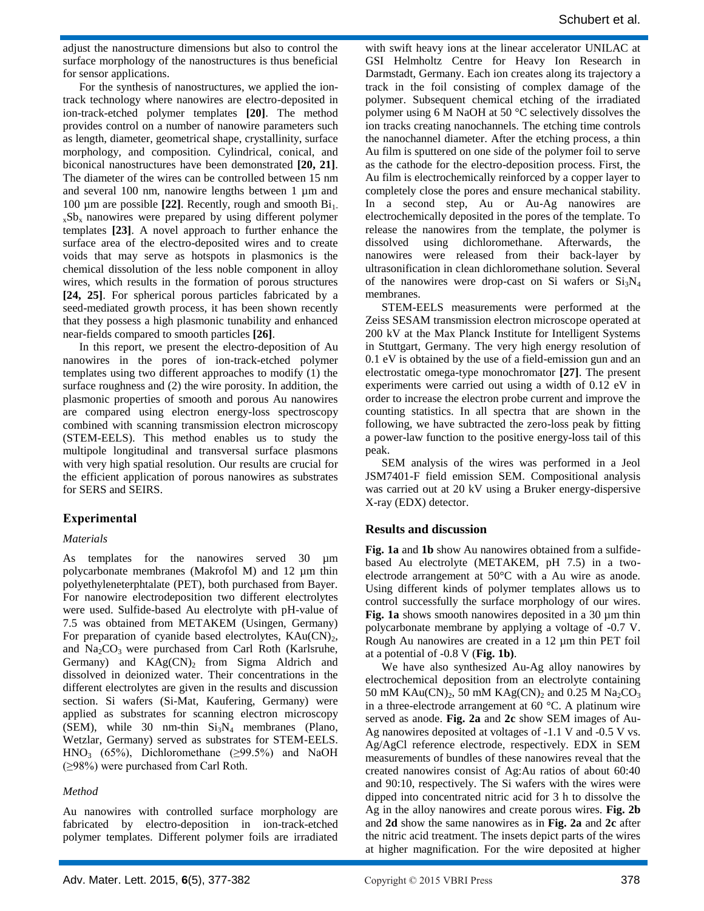adjust the nanostructure dimensions but also to control the surface morphology of the nanostructures is thus beneficial for sensor applications.

For the synthesis of nanostructures, we applied the iontrack technology where nanowires are electro-deposited in ion-track-etched polymer templates **[20]**. The method provides control on a number of nanowire parameters such as length, diameter, geometrical shape, crystallinity, surface morphology, and composition. Cylindrical, conical, and biconical nanostructures have been demonstrated **[20, 21]**. The diameter of the wires can be controlled between 15 nm and several 100 nm, nanowire lengths between 1 µm and 100 µm are possible [22]. Recently, rough and smooth Bi<sub>1-</sub>  $xSb_x$  nanowires were prepared by using different polymer templates **[23]**. A novel approach to further enhance the surface area of the electro-deposited wires and to create voids that may serve as hotspots in plasmonics is the chemical dissolution of the less noble component in alloy wires, which results in the formation of porous structures **[24, 25]**. For spherical porous particles fabricated by a seed-mediated growth process, it has been shown recently that they possess a high plasmonic tunability and enhanced near-fields compared to smooth particles **[26]**.

In this report, we present the electro-deposition of Au nanowires in the pores of ion-track-etched polymer templates using two different approaches to modify (1) the surface roughness and (2) the wire porosity. In addition, the plasmonic properties of smooth and porous Au nanowires are compared using electron energy-loss spectroscopy combined with scanning transmission electron microscopy (STEM-EELS). This method enables us to study the multipole longitudinal and transversal surface plasmons with very high spatial resolution. Our results are crucial for the efficient application of porous nanowires as substrates for SERS and SEIRS.

## **Experimental**

#### *Materials*

As templates for the nanowires served 30  $\mu$ m polycarbonate membranes (Makrofol M) and 12 µm thin polyethyleneterphtalate (PET), both purchased from Bayer. For nanowire electrodeposition two different electrolytes were used. Sulfide-based Au electrolyte with pH-value of 7.5 was obtained from METAKEM (Usingen, Germany) For preparation of cyanide based electrolytes,  $KAu(CN)<sub>2</sub>$ , and  $Na<sub>2</sub>CO<sub>3</sub>$  were purchased from Carl Roth (Karlsruhe, Germany) and  $KAg(CN)_2$  from Sigma Aldrich and dissolved in deionized water. Their concentrations in the different electrolytes are given in the results and discussion section. Si wafers (Si-Mat, Kaufering, Germany) were applied as substrates for scanning electron microscopy (SEM), while 30 nm-thin  $Si<sub>3</sub>N<sub>4</sub>$  membranes (Plano, Wetzlar, Germany) served as substrates for STEM-EELS. HNO<sub>3</sub> (65%), Dichloromethane ( $\geq$ 99.5%) and NaOH (≥98%) were purchased from Carl Roth.

#### *Method*

Au nanowires with controlled surface morphology are fabricated by electro-deposition in ion-track-etched polymer templates. Different polymer foils are irradiated with swift heavy ions at the linear accelerator UNILAC at GSI Helmholtz Centre for Heavy Ion Research in Darmstadt, Germany. Each ion creates along its trajectory a track in the foil consisting of complex damage of the polymer. Subsequent chemical etching of the irradiated polymer using 6 M NaOH at 50 °C selectively dissolves the ion tracks creating nanochannels. The etching time controls the nanochannel diameter. After the etching process, a thin Au film is sputtered on one side of the polymer foil to serve as the cathode for the electro-deposition process. First, the Au film is electrochemically reinforced by a copper layer to completely close the pores and ensure mechanical stability. In a second step, Au or Au-Ag nanowires are electrochemically deposited in the pores of the template. To release the nanowires from the template, the polymer is dissolved using dichloromethane. Afterwards, the nanowires were released from their back-layer by ultrasonification in clean dichloromethane solution. Several of the nanowires were drop-cast on Si wafers or  $Si<sub>3</sub>N<sub>4</sub>$ membranes.

STEM-EELS measurements were performed at the Zeiss SESAM transmission electron microscope operated at 200 kV at the Max Planck Institute for Intelligent Systems in Stuttgart, Germany. The very high energy resolution of 0.1 eV is obtained by the use of a field-emission gun and an electrostatic omega-type monochromator **[27]**. The present experiments were carried out using a width of 0.12 eV in order to increase the electron probe current and improve the counting statistics. In all spectra that are shown in the following, we have subtracted the zero-loss peak by fitting a power-law function to the positive energy-loss tail of this peak.

SEM analysis of the wires was performed in a Jeol JSM7401-F field emission SEM. Compositional analysis was carried out at 20 kV using a Bruker energy-dispersive X-ray (EDX) detector.

#### **Results and discussion**

**Fig. 1a** and **1b** show Au nanowires obtained from a sulfidebased Au electrolyte (METAKEM, pH 7.5) in a twoelectrode arrangement at 50°C with a Au wire as anode. Using different kinds of polymer templates allows us to control successfully the surface morphology of our wires. **Fig. 1a** shows smooth nanowires deposited in a 30  $\mu$ m thin polycarbonate membrane by applying a voltage of -0.7 V. Rough Au nanowires are created in a 12 µm thin PET foil at a potential of -0.8 V (**Fig. 1b)**.

We have also synthesized Au-Ag alloy nanowires by electrochemical deposition from an electrolyte containing 50 mM KAu $(CN)_2$ , 50 mM KAg $(CN)_2$  and 0.25 M Na<sub>2</sub>CO<sub>3</sub> in a three-electrode arrangement at 60 °C. A platinum wire served as anode. **Fig. 2a** and **2c** show SEM images of Au-Ag nanowires deposited at voltages of -1.1 V and -0.5 V vs. Ag/AgCl reference electrode, respectively. EDX in SEM measurements of bundles of these nanowires reveal that the created nanowires consist of Ag:Au ratios of about 60:40 and 90:10, respectively. The Si wafers with the wires were dipped into concentrated nitric acid for 3 h to dissolve the Ag in the alloy nanowires and create porous wires. **Fig. 2b** and **2d** show the same nanowires as in **Fig. 2a** and **2c** after the nitric acid treatment. The insets depict parts of the wires at higher magnification. For the wire deposited at higher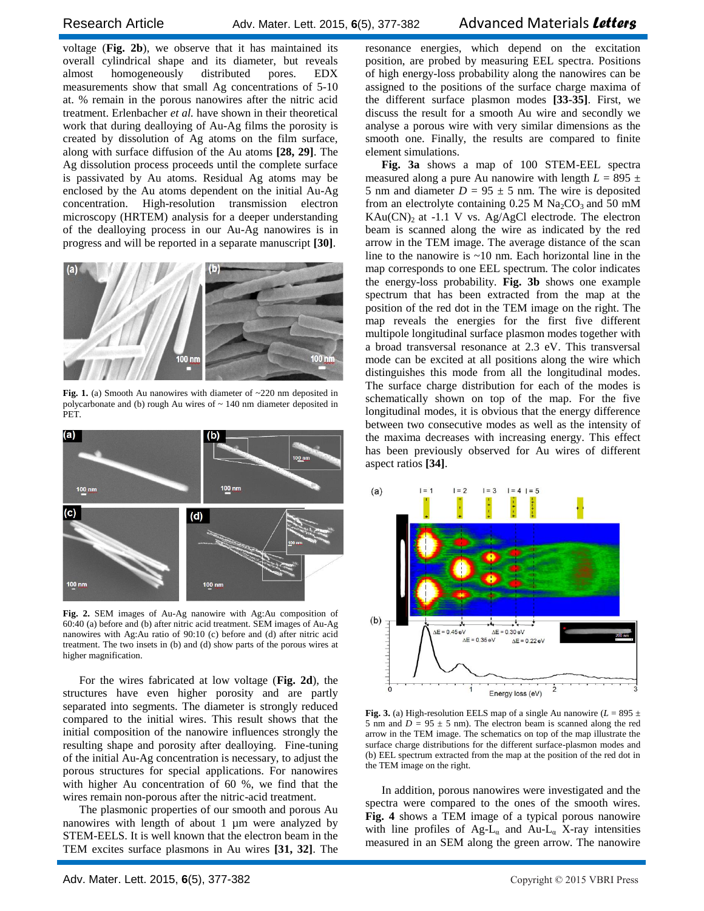voltage (**Fig. 2b**), we observe that it has maintained its overall cylindrical shape and its diameter, but reveals almost homogeneously distributed pores. EDX measurements show that small Ag concentrations of 5-10 at. % remain in the porous nanowires after the nitric acid treatment. Erlenbacher *et al.* have shown in their theoretical work that during dealloying of Au-Ag films the porosity is created by dissolution of Ag atoms on the film surface, along with surface diffusion of the Au atoms **[28, 29]**. The Ag dissolution process proceeds until the complete surface is passivated by Au atoms. Residual Ag atoms may be enclosed by the Au atoms dependent on the initial Au-Ag concentration. High-resolution transmission electron microscopy (HRTEM) analysis for a deeper understanding of the dealloying process in our Au-Ag nanowires is in progress and will be reported in a separate manuscript **[30]**.



**Fig. 1.** (a) Smooth Au nanowires with diameter of ~220 nm deposited in polycarbonate and (b) rough Au wires of ~ 140 nm diameter deposited in PET.



**Fig. 2.** SEM images of Au-Ag nanowire with Ag:Au composition of 60:40 (a) before and (b) after nitric acid treatment. SEM images of Au-Ag nanowires with Ag:Au ratio of 90:10 (c) before and (d) after nitric acid treatment. The two insets in (b) and (d) show parts of the porous wires at higher magnification.

For the wires fabricated at low voltage (**Fig. 2d**), the structures have even higher porosity and are partly separated into segments. The diameter is strongly reduced compared to the initial wires. This result shows that the initial composition of the nanowire influences strongly the resulting shape and porosity after dealloying. Fine-tuning of the initial Au-Ag concentration is necessary, to adjust the porous structures for special applications. For nanowires with higher Au concentration of 60 %, we find that the wires remain non-porous after the nitric-acid treatment.

The plasmonic properties of our smooth and porous Au nanowires with length of about 1 µm were analyzed by STEM-EELS. It is well known that the electron beam in the TEM excites surface plasmons in Au wires **[31, 32]**. The resonance energies, which depend on the excitation position, are probed by measuring EEL spectra. Positions of high energy-loss probability along the nanowires can be assigned to the positions of the surface charge maxima of the different surface plasmon modes **[33-35]**. First, we discuss the result for a smooth Au wire and secondly we analyse a porous wire with very similar dimensions as the smooth one. Finally, the results are compared to finite element simulations.

**Fig. 3a** shows a map of 100 STEM-EEL spectra measured along a pure Au nanowire with length  $L = 895 \pm 100$ 5 nm and diameter  $D = 95 \pm 5$  nm. The wire is deposited from an electrolyte containing  $0.25$  M Na<sub>2</sub>CO<sub>3</sub> and 50 mM  $KAu(CN)_2$  at -1.1 V vs. Ag/AgCl electrode. The electron beam is scanned along the wire as indicated by the red arrow in the TEM image. The average distance of the scan line to the nanowire is  $\sim 10$  nm. Each horizontal line in the map corresponds to one EEL spectrum. The color indicates the energy-loss probability. **Fig. 3b** shows one example spectrum that has been extracted from the map at the position of the red dot in the TEM image on the right. The map reveals the energies for the first five different multipole longitudinal surface plasmon modes together with a broad transversal resonance at 2.3 eV. This transversal mode can be excited at all positions along the wire which distinguishes this mode from all the longitudinal modes. The surface charge distribution for each of the modes is schematically shown on top of the map. For the five longitudinal modes, it is obvious that the energy difference between two consecutive modes as well as the intensity of the maxima decreases with increasing energy. This effect has been previously observed for Au wires of different aspect ratios **[34]**.



**Fig. 3.** (a) High-resolution EELS map of a single Au nanowire ( $L = 895 \pm 100$ 5 nm and  $D = 95 \pm 5$  nm). The electron beam is scanned along the red arrow in the TEM image. The schematics on top of the map illustrate the surface charge distributions for the different surface-plasmon modes and (b) EEL spectrum extracted from the map at the position of the red dot in the TEM image on the right.

In addition, porous nanowires were investigated and the spectra were compared to the ones of the smooth wires. **Fig. 4** shows a TEM image of a typical porous nanowire with line profiles of  $Ag-L_{\alpha}$  and  $Au-L_{\alpha}$  X-ray intensities measured in an SEM along the green arrow. The nanowire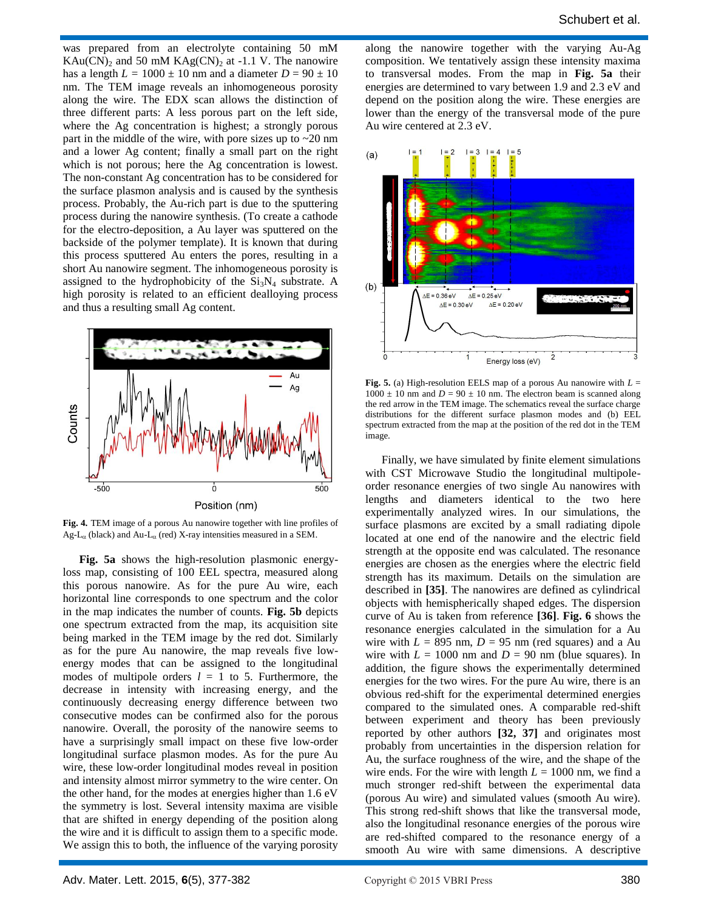was prepared from an electrolyte containing 50 mM  $KAu(CN)_2$  and 50 mM  $KAg(CN)_2$  at -1.1 V. The nanowire has a length  $L = 1000 \pm 10$  nm and a diameter  $D = 90 \pm 10$ nm. The TEM image reveals an inhomogeneous porosity along the wire. The EDX scan allows the distinction of three different parts: A less porous part on the left side, where the Ag concentration is highest; a strongly porous part in the middle of the wire, with pore sizes up to  $\sim$ 20 nm and a lower Ag content; finally a small part on the right which is not porous; here the Ag concentration is lowest. The non-constant Ag concentration has to be considered for the surface plasmon analysis and is caused by the synthesis process. Probably, the Au-rich part is due to the sputtering process during the nanowire synthesis. (To create a cathode for the electro-deposition, a Au layer was sputtered on the backside of the polymer template). It is known that during this process sputtered Au enters the pores, resulting in a short Au nanowire segment. The inhomogeneous porosity is assigned to the hydrophobicity of the  $Si<sub>3</sub>N<sub>4</sub>$  substrate. A high porosity is related to an efficient dealloying process and thus a resulting small Ag content.



**Fig. 4.** TEM image of a porous Au nanowire together with line profiles of Ag-L<sub> $\alpha$ </sub> (black) and Au-L<sub> $\alpha$ </sub> (red) X-ray intensities measured in a SEM.

**Fig. 5a** shows the high-resolution plasmonic energyloss map, consisting of 100 EEL spectra, measured along this porous nanowire. As for the pure Au wire, each horizontal line corresponds to one spectrum and the color in the map indicates the number of counts. **Fig. 5b** depicts one spectrum extracted from the map, its acquisition site being marked in the TEM image by the red dot. Similarly as for the pure Au nanowire, the map reveals five lowenergy modes that can be assigned to the longitudinal modes of multipole orders  $l = 1$  to 5. Furthermore, the decrease in intensity with increasing energy, and the continuously decreasing energy difference between two consecutive modes can be confirmed also for the porous nanowire. Overall, the porosity of the nanowire seems to have a surprisingly small impact on these five low-order longitudinal surface plasmon modes. As for the pure Au wire, these low-order longitudinal modes reveal in position and intensity almost mirror symmetry to the wire center. On the other hand, for the modes at energies higher than 1.6 eV the symmetry is lost. Several intensity maxima are visible that are shifted in energy depending of the position along the wire and it is difficult to assign them to a specific mode. We assign this to both, the influence of the varying porosity

along the nanowire together with the varying Au-Ag composition. We tentatively assign these intensity maxima to transversal modes. From the map in **Fig. 5a** their energies are determined to vary between 1.9 and 2.3 eV and depend on the position along the wire. These energies are lower than the energy of the transversal mode of the pure Au wire centered at 2.3 eV.



**Fig. 5.** (a) High-resolution EELS map of a porous Au nanowire with *L* =  $1000 \pm 10$  nm and  $D = 90 \pm 10$  nm. The electron beam is scanned along the red arrow in the TEM image. The schematics reveal the surface charge distributions for the different surface plasmon modes and (b) EEL spectrum extracted from the map at the position of the red dot in the TEM image.

Finally, we have simulated by finite element simulations with CST Microwave Studio the longitudinal multipoleorder resonance energies of two single Au nanowires with lengths and diameters identical to the two here experimentally analyzed wires. In our simulations, the surface plasmons are excited by a small radiating dipole located at one end of the nanowire and the electric field strength at the opposite end was calculated. The resonance energies are chosen as the energies where the electric field strength has its maximum. Details on the simulation are described in **[35]**. The nanowires are defined as cylindrical objects with hemispherically shaped edges. The dispersion curve of Au is taken from reference **[36]**. **Fig. 6** shows the resonance energies calculated in the simulation for a Au wire with  $L = 895$  nm,  $D = 95$  nm (red squares) and a Au wire with  $L = 1000$  nm and  $D = 90$  nm (blue squares). In addition, the figure shows the experimentally determined energies for the two wires. For the pure Au wire, there is an obvious red-shift for the experimental determined energies compared to the simulated ones. A comparable red-shift between experiment and theory has been previously reported by other authors **[32, 37]** and originates most probably from uncertainties in the dispersion relation for Au, the surface roughness of the wire, and the shape of the wire ends. For the wire with length  $L = 1000$  nm, we find a much stronger red-shift between the experimental data (porous Au wire) and simulated values (smooth Au wire). This strong red-shift shows that like the transversal mode, also the longitudinal resonance energies of the porous wire are red-shifted compared to the resonance energy of a smooth Au wire with same dimensions. A descriptive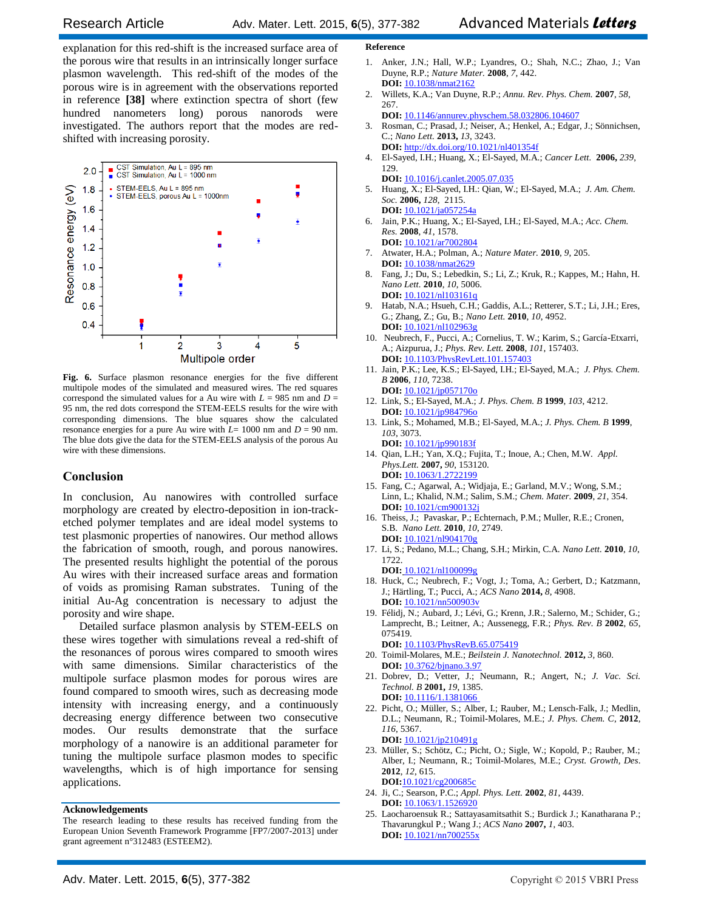explanation for this red-shift is the increased surface area of the porous wire that results in an intrinsically longer surface plasmon wavelength. This red-shift of the modes of the porous wire is in agreement with the observations reported in reference **[38]** where extinction spectra of short (few hundred nanometers long) porous nanorods were investigated. The authors report that the modes are redshifted with increasing porosity.



**Fig. 6.** Surface plasmon resonance energies for the five different multipole modes of the simulated and measured wires. The red squares correspond the simulated values for a Au wire with  $L = 985$  nm and  $D =$ 95 nm, the red dots correspond the STEM-EELS results for the wire with corresponding dimensions. The blue squares show the calculated resonance energies for a pure Au wire with *L*= 1000 nm and *D* = 90 nm. The blue dots give the data for the STEM-EELS analysis of the porous Au wire with these dimensions.

#### **Conclusion**

In conclusion, Au nanowires with controlled surface morphology are created by electro-deposition in ion-tracketched polymer templates and are ideal model systems to test plasmonic properties of nanowires. Our method allows the fabrication of smooth, rough, and porous nanowires. The presented results highlight the potential of the porous Au wires with their increased surface areas and formation of voids as promising Raman substrates. Tuning of the initial Au-Ag concentration is necessary to adjust the porosity and wire shape.

Detailed surface plasmon analysis by STEM-EELS on these wires together with simulations reveal a red-shift of the resonances of porous wires compared to smooth wires with same dimensions. Similar characteristics of the multipole surface plasmon modes for porous wires are found compared to smooth wires, such as decreasing mode intensity with increasing energy, and a continuously decreasing energy difference between two consecutive modes. Our results demonstrate that the surface morphology of a nanowire is an additional parameter for tuning the multipole surface plasmon modes to specific wavelengths, which is of high importance for sensing applications.

#### **Acknowledgements**

#### **Reference**

- 1. Anker, J.N.; Hall, W.P.; Lyandres, O.; Shah, N.C.; Zhao, J.; Van Duyne, R.P.; *Nature Mater.* **2008**, *7*, 442. **DOI:** [10.1038/nmat2162](http://dx.doi.org/10.1038/nmat2162)
- 2. Willets, K.A.; Van Duyne, R.P.; *Annu. Rev. Phys. Chem.* **2007**, *58*, 267.
- **DOI:** [10.1146/annurev.physchem.58.032806.104607](http://dx.doi.org/10.1146/annurev.physchem.58.032806.104607) 3. Rosman, C.; Prasad, J.; Neiser, A.; Henkel, A.; Edgar, J.; Sönnichsen, C.; *Nano Lett.* **2013,** *13*, 3243.
- **DOI:** <http://dx.doi.org/10.1021/nl401354f> 4. El-Sayed, I.H.; Huang, X.; El-Sayed, M.A.; *Cancer Lett.* **2006,** *239*, 129.
- **DOI:** [10.1016/j.canlet.2005.07.035](http://dx.doi.org/10.1016/j.canlet.2005.07.035) 5. Huang, X.; El-Sayed, I.H.: Qian, W.; El-Sayed, M.A.; *J. Am. Chem. Soc.* **2006,** *128*, 2115. **DOI:** [10.1021/ja057254a](http://dx.doi.org/10.1021/ja057254a)
- 6. Jain, P.K.; Huang, X.; El-Sayed, I.H.; El-Sayed, M.A.; *Acc. Chem. Res.* **2008**, *41*, 1578.
- **DOI:** [10.1021/ar7002804](http://dx.doi.org/10.1021/ja057254a) 7. Atwater, H.A.; Polman, A.; *Nature Mater.* **2010**, *9*, 205. **DOI:** [10.1038/nmat2629](http://dx.doi.org/10.1038/nmat2629)
- 8. Fang, J.; Du, S.; Lebedkin, S.; Li, Z.; Kruk, R.; Kappes, M.; Hahn, H. *Nano Lett.* **2010**, *10*, 5006. **DOI:** [10.1021/nl103161q](http://dx.doi.org/10.1021/nl103161q)
- 9. Hatab, N.A.; Hsueh, C.H.; Gaddis, A.L.; Retterer, S.T.; Li, J.H.; Eres, G.; Zhang, Z.; Gu, B.; *Nano Lett.* **2010**, *10*, 4952. **DOI:** [10.1021/nl102963g](http://dx.doi.org/10.1021/nl102963g)
- 10. Neubrech, F., Pucci, A.; Cornelius, T. W.; Karim, S.; García-Etxarri, A.; Aizpurua, J.; *Phys. Rev. Lett.* **2008**, *101*, 157403. **DOI:** [10.1103/PhysRevLett.101.157403](http://dx.doi.org/10.1103/PhysRevLett.101.157403)
- 11. Jain, P.K.; Lee, K.S.; El-Sayed, I.H.; El-Sayed, M.A.; *J. Phys. Chem. B* **2006**, *110*, 7238.
- **DOI:** [10.1021/jp057170o](http://dx.doi.org/10.1021/jp057170o) 12. Link, S.; El-Sayed, M.A.; *J. Phys. Chem. B* **1999**, *103*, 4212. **DOI:** 10.1021/jp984796c
- 13. Link, S.; Mohamed, M.B.; El-Sayed, M.A.; *J. Phys. Chem. B* **1999**, *103*, 3073.
- **DOI:** [10.1021/jp990183f](http://dx.doi.org/10.1021/jp990183f) 14. Qian, L.H.; Yan, X.Q.; Fujita, T.; Inoue, A.; Chen, M.W. *Appl. Phys.Lett.* **2007,** *90*, 153120. **DOI:** [10.1063/1.2722199](http://dx.doi.org/10.1063/1.2722199)
- 15. Fang, C.; Agarwal, A.; Widjaja, E.; Garland, M.V.; Wong, S.M.; Linn, L.; Khalid, N.M.; Salim, S.M.; *Chem. Mater.* **2009**, *21*, 354. **DOI:** [10.1021/cm900132j](http://dx.doi.org/10.1021/nl103161q)
- 16. Theiss, J.; Pavaskar, P.; Echternach, P.M.; Muller, R.E.; Cronen, S.B. *Nano Lett.* **2010**, *10*, 2749. **DOI:** [10.1021/nl904170g](http://dx.doi.org/10.1021/nl904170g)
- 17. Li, S.; Pedano, M.L.; Chang, S.H.; Mirkin, C.A. *Nano Lett.* **2010**, *10*, 1722.
- **DOI:** [10.1021/nl100099g](http://dx.doi.org/10.1021/nl100099g) 18. Huck, C.; Neubrech, F.; Vogt, J.; Toma, A.; Gerbert, D.; Katzmann, J.; Härtling, T.; Pucci, A.; *ACS Nano* **2014,** *8*, 4908. **DOI:** [10.1021/nn500903v](http://dx.doi.org/10.1021/nn500903v)
- 19. Félidj, N.; Aubard, J.; Lévi, G.; Krenn, J.R.; Salerno, M.; Schider, G.; Lamprecht, B.; Leitner, A.; Aussenegg, F.R.; *Phys. Rev. B* **2002**, *65*, 075419.
- **DOI:** [10.1103/PhysRevB.65.075419](http://dx.doi.org/10.1103/PhysRevB.65.075419)
- 20. Toimil-Molares, M.E.; *Beilstein J. Nanotechnol.* **2012,** *3,* 860. **DOI:** [10.3762/bjnano.3.97](http://dx.doi.org/10.3762/bjnano.3.97)
- 21. Dobrev, D.; Vetter, J.; Neumann, R.; Angert, N.; *J. Vac. Sci. Technol. B* **2001,** *19*, 1385. **DOI:** [10.1116/1.1381066](http://dx.doi.org/10.1116/1.1381066)
- 22. Picht, O.; Müller, S.; Alber, I.; Rauber, M.; Lensch-Falk, J.; Medlin, D.L.; Neumann, R.; Toimil-Molares, M.E.; *J. Phys. Chem. C*, **2012**, *116*, 5367. **DOI:** [10.1021/jp210491g](http://dx.doi.org/10.1021/jp210491g)
- 23. Müller, S.; Schötz, C.; Picht, O.; Sigle, W.; Kopold, P.; Rauber, M.; Alber, I.; Neumann, R.; Toimil-Molares, M.E.; *Cryst. Growth, Des*. **2012**, *12*, 615. **DOI:**[10.1021/cg200685c](http://dx.doi.org/10.1021/cg200685c)
- 24. Ji, C.; Searson, P.C.; *Appl. Phys. Lett.* **2002**, *81*, 4439. **DOI:** [10.1063/1.1526920](http://dx.doi.org/10.1063/1.1526920)
- 25. [Laocharoensuk R.;](http://www.ncbi.nlm.nih.gov/pubmed?term=Laocharoensuk%20R%5BAuthor%5D&cauthor=true&cauthor_uid=19206660) [Sattayasamitsathit S.](http://www.ncbi.nlm.nih.gov/pubmed?term=Sattayasamitsathit%20S%5BAuthor%5D&cauthor=true&cauthor_uid=19206660)[; Burdick J.](http://www.ncbi.nlm.nih.gov/pubmed?term=Burdick%20J%5BAuthor%5D&cauthor=true&cauthor_uid=19206660)[; Kanatharana P.](http://www.ncbi.nlm.nih.gov/pubmed?term=Kanatharana%20P%5BAuthor%5D&cauthor=true&cauthor_uid=19206660); [Thavarungkul P.;](http://www.ncbi.nlm.nih.gov/pubmed?term=Thavarungkul%20P%5BAuthor%5D&cauthor=true&cauthor_uid=19206660) [Wang J.;](http://www.ncbi.nlm.nih.gov/pubmed?term=Wang%20J%5BAuthor%5D&cauthor=true&cauthor_uid=19206660) *ACS Nano* **2007,** *1*, 403. **DOI:** [10.1021/nn700255x](http://dx.doi.org/10.1021/nn700255x)

The research leading to these results has received funding from the European Union Seventh Framework Programme [FP7/2007-2013] under grant agreement n°312483 (ESTEEM2).